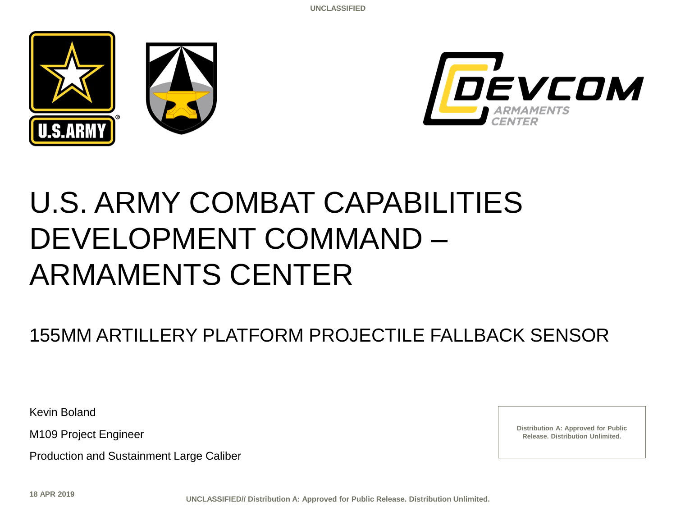



# U.S. ARMY COMBAT CAPABILITIES DEVELOPMENT COMMAND – ARMAMENTS CENTER

## 155MM ARTILLERY PLATFORM PROJECTILE FALLBACK SENSOR

Kevin Boland

M109 Project Engineer

Production and Sustainment Large Caliber

**Distribution A: Approved for Public Release. Distribution Unlimited.**

**18 APR 2019**

**UNCLASSIFIED// Distribution A: Approved for Public Release. Distribution Unlimited.**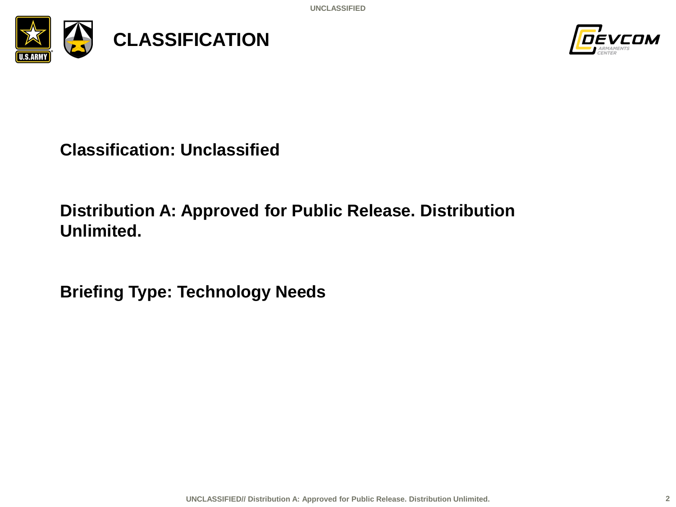**UNCLASSIFIED**





**Classification: Unclassified**

### **Distribution A: Approved for Public Release. Distribution Unlimited.**

**Briefing Type: Technology Needs**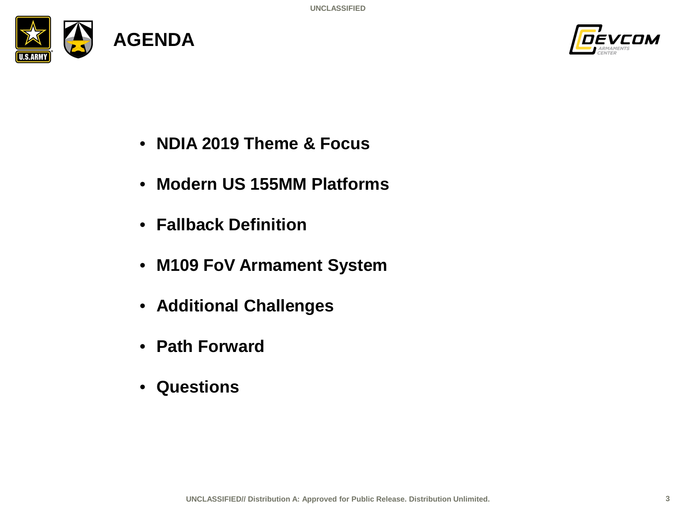



- **NDIA 2019 Theme & Focus**
- **Modern US 155MM Platforms**
- **Fallback Definition**
- **M109 FoV Armament System**
- **Additional Challenges**
- **Path Forward**
- **Questions**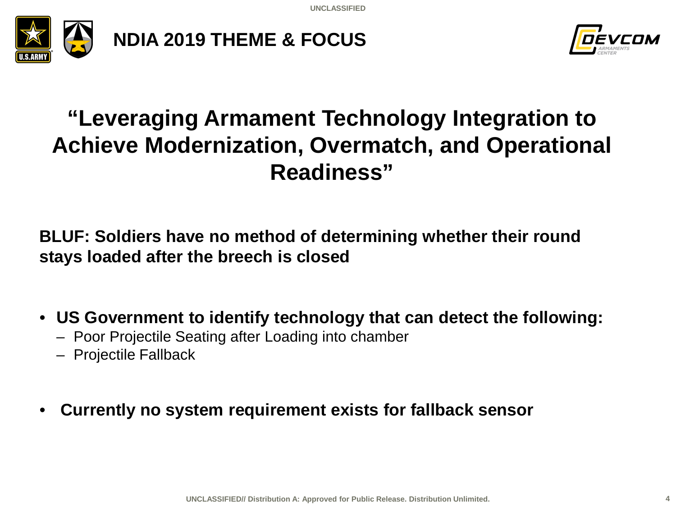**UNCLASSIFIED**





# **"Leveraging Armament Technology Integration to Achieve Modernization, Overmatch, and Operational Readiness"**

**BLUF: Soldiers have no method of determining whether their round stays loaded after the breech is closed**

• **US Government to identify technology that can detect the following:**

- Poor Projectile Seating after Loading into chamber
- Projectile Fallback
- **Currently no system requirement exists for fallback sensor**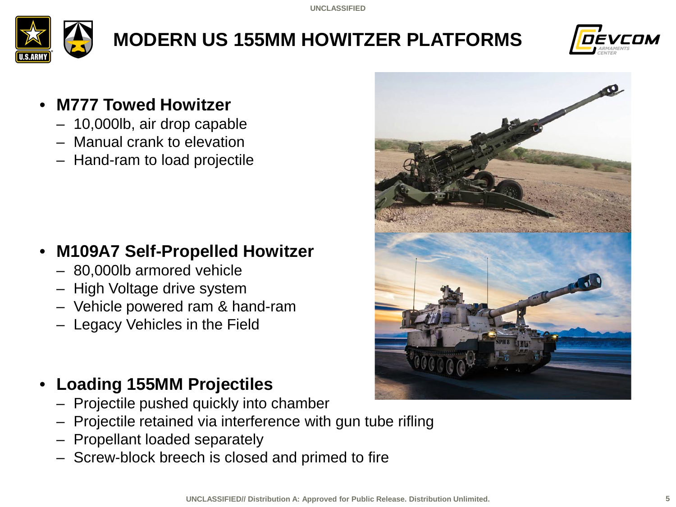

# **MODERN US 155MM HOWITZER PLATFORMS**



#### • **M777 Towed Howitzer**

- 10,000lb, air drop capable
- Manual crank to elevation
- Hand-ram to load projectile

### • **M109A7 Self-Propelled Howitzer**

- 80,000lb armored vehicle
- High Voltage drive system
- Vehicle powered ram & hand-ram
- Legacy Vehicles in the Field

### • **Loading 155MM Projectiles**

- Projectile pushed quickly into chamber
- Projectile retained via interference with gun tube rifling
- Propellant loaded separately
- Screw-block breech is closed and primed to fire

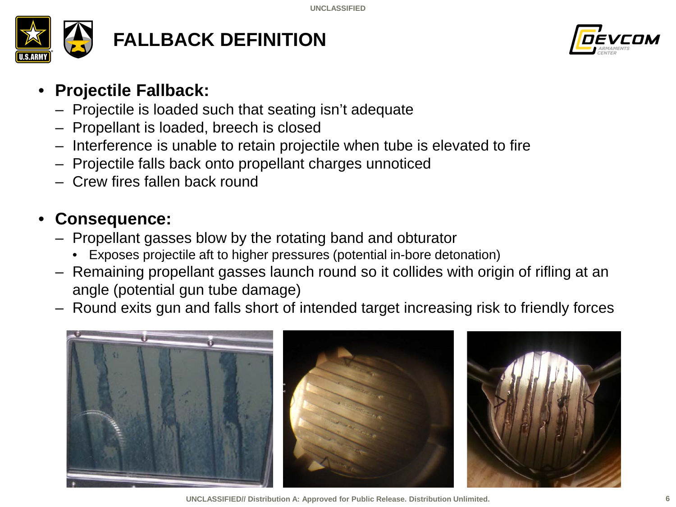

# **FALLBACK DEFINITION**



#### • **Projectile Fallback:**

- Projectile is loaded such that seating isn't adequate
- Propellant is loaded, breech is closed
- Interference is unable to retain projectile when tube is elevated to fire
- Projectile falls back onto propellant charges unnoticed
- Crew fires fallen back round

### • **Consequence:**

- Propellant gasses blow by the rotating band and obturator
	- Exposes projectile aft to higher pressures (potential in-bore detonation)
- Remaining propellant gasses launch round so it collides with origin of rifling at an angle (potential gun tube damage)
- Round exits gun and falls short of intended target increasing risk to friendly forces



**UNCLASSIFIED// Distribution A: Approved for Public Release. Distribution Unlimited.**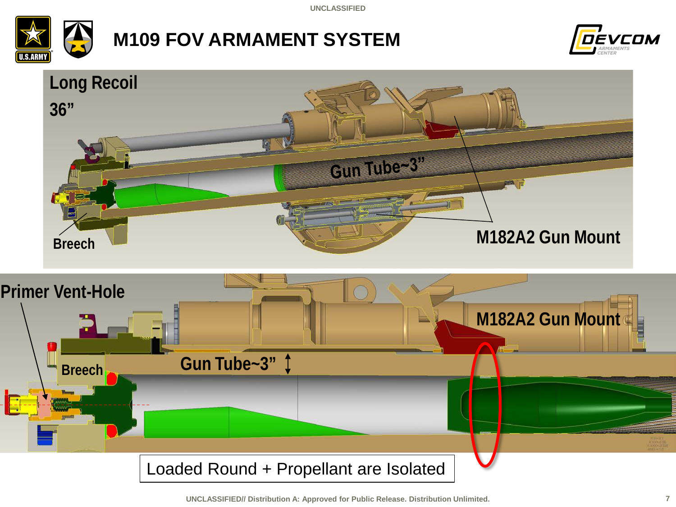**UNCLASSIFIED**



# **M109 FOV ARMAMENT SYSTEM**



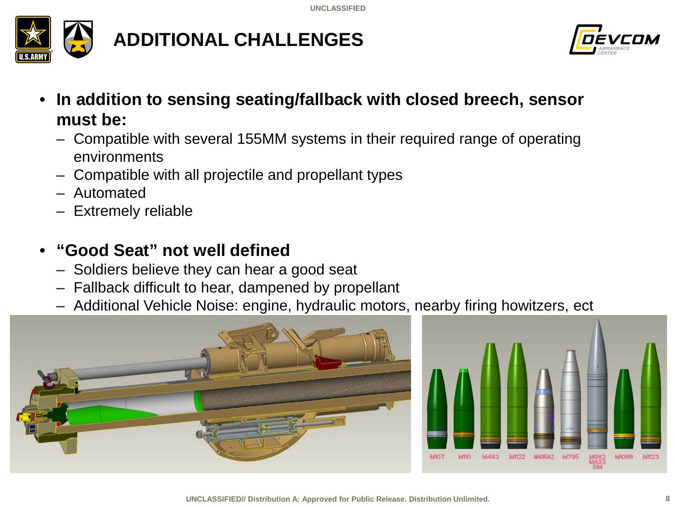

# **ADDITIONAL CHALLENGES**



- **In addition to sensing seating/fallback with closed breech, sensor must be:**
	- Compatible with several 155MM systems in their required range of operating environments
	- Compatible with all projectile and propellant types
	- Automated
	- Extremely reliable

### • **"Good Seat" not well defined**

- Soldiers believe they can hear a good seat
- Fallback difficult to hear, dampened by propellant
- Additional Vehicle Noise: engine, hydraulic motors, nearby firing howitzers, ect



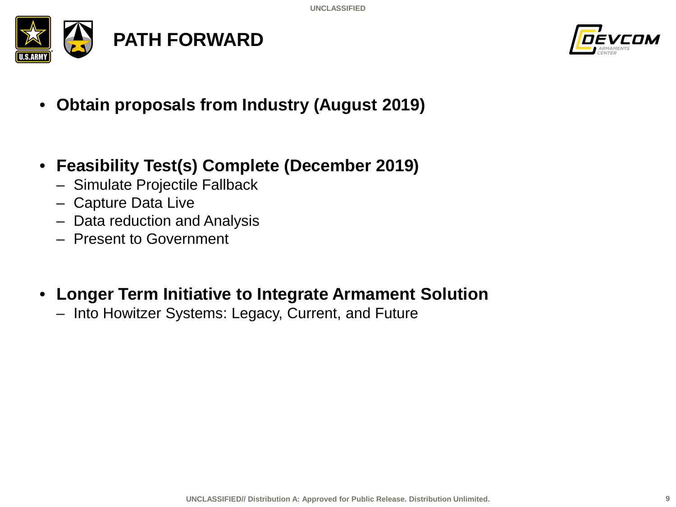



- **Obtain proposals from Industry (August 2019)**
- **Feasibility Test(s) Complete (December 2019)**
	- Simulate Projectile Fallback
	- Capture Data Live
	- Data reduction and Analysis
	- Present to Government
- **Longer Term Initiative to Integrate Armament Solution**
	- Into Howitzer Systems: Legacy, Current, and Future